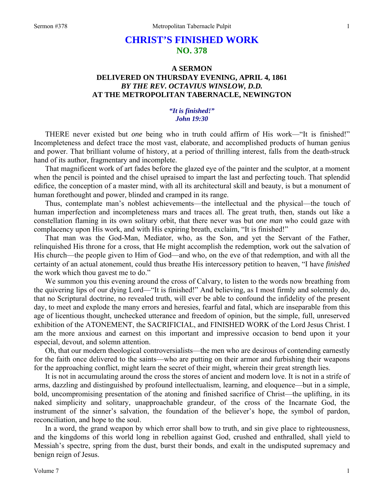# **CHRIST'S FINISHED WORK NO. 378**

## **A SERMON DELIVERED ON THURSDAY EVENING, APRIL 4, 1861**  *BY THE REV. OCTAVIUS WINSLOW, D.D.*  **AT THE METROPOLITAN TABERNACLE, NEWINGTON**

### *"It is finished!" John 19:30*

THERE never existed but *one* being who in truth could affirm of His work—"It is finished!" Incompleteness and defect trace the most vast, elaborate, and accomplished products of human genius and power. That brilliant volume of history, at a period of thrilling interest, falls from the death-struck hand of its author, fragmentary and incomplete.

That magnificent work of art fades before the glazed eye of the painter and the sculptor, at a moment when the pencil is pointed and the chisel upraised to impart the last and perfecting touch. That splendid edifice, the conception of a master mind, with all its architectural skill and beauty, is but a monument of human forethought and power, blinded and cramped in its range.

Thus, contemplate man's noblest achievements—the intellectual and the physical—the touch of human imperfection and incompleteness mars and traces all. The great truth, then, stands out like a constellation flaming in its own solitary orbit, that there never was but *one man* who could gaze with complacency upon His work, and with His expiring breath, exclaim, "It is finished!"

That man was the God-Man, Mediator, who, as the Son, and yet the Servant of the Father, relinquished His throne for a cross, that He might accomplish the redemption, work out the salvation of His church—the people given to Him of God—and who, on the eve of that redemption, and with all the certainty of an actual atonement, could thus breathe His intercessory petition to heaven, "I have *finished*  the work which thou gavest me to do."

We summon you this evening around the cross of Calvary, to listen to the words now breathing from the quivering lips of our dying Lord—"It is finished!" And believing, as I most firmly and solemnly do, that no Scriptural doctrine, no revealed truth, will ever be able to confound the infidelity of the present day, to meet and explode the many errors and heresies, fearful and fatal, which are inseparable from this age of licentious thought, unchecked utterance and freedom of opinion, but the simple, full, unreserved exhibition of the ATONEMENT, the SACRIFICIAL, and FINISHED WORK of the Lord Jesus Christ. I am the more anxious and earnest on this important and impressive occasion to bend upon it your especial, devout, and solemn attention.

Oh, that our modern theological controversialists—the men who are desirous of contending earnestly for the faith once delivered to the saints—who are putting on their armor and furbishing their weapons for the approaching conflict, might learn the secret of their might, wherein their great strength lies.

It is not in accumulating around the cross the stores of ancient and modern love. It is not in a strife of arms, dazzling and distinguished by profound intellectualism, learning, and eloquence—but in a simple, bold, uncompromising presentation of the atoning and finished sacrifice of Christ—the uplifting, in its naked simplicity and solitary, unapproachable grandeur, of the cross of the Incarnate God, the instrument of the sinner's salvation, the foundation of the believer's hope, the symbol of pardon, reconciliation, and hope to the soul.

In a word, the grand weapon by which error shall bow to truth, and sin give place to righteousness, and the kingdoms of this world long in rebellion against God, crushed and enthralled, shall yield to Messiah's spectre, spring from the dust, burst their bonds, and exalt in the undisputed supremacy and benign reign of Jesus.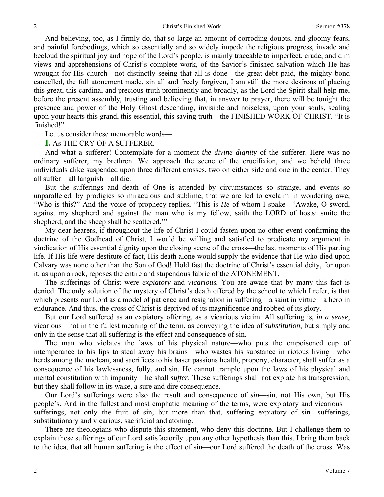And believing, too, as I firmly do, that so large an amount of corroding doubts, and gloomy fears, and painful forebodings, which so essentially and so widely impede the religious progress, invade and becloud the spiritual joy and hope of the Lord's people, is mainly traceable to imperfect, crude, and dim views and apprehensions of Christ's complete work, of the Savior's finished salvation which He has wrought for His church—not distinctly seeing that all is done—the great debt paid, the mighty bond cancelled, the full atonement made, sin all and freely forgiven, I am still the more desirous of placing this great, this cardinal and precious truth prominently and broadly, as the Lord the Spirit shall help me, before the present assembly, trusting and believing that, in answer to prayer, there will be tonight the presence and power of the Holy Ghost descending, invisible and noiseless, upon your souls, sealing upon your hearts this grand, this essential, this saving truth—the FINISHED WORK OF CHRIST. "It is finished!"

Let us consider these memorable words—

**I.** As THE CRY OF A SUFFERER.

2

And what a sufferer! Contemplate for a moment *the divine dignity* of the sufferer. Here was no ordinary sufferer, my brethren. We approach the scene of the crucifixion, and we behold three individuals alike suspended upon three different crosses, two on either side and one in the center. They all suffer—all languish—all die.

But the sufferings and death of One is attended by circumstances so strange, and events so unparalleled, by prodigies so miraculous and sublime, that we are led to exclaim in wondering awe, "Who is this?" And the voice of prophecy replies, "This is *He* of whom I spake—'Awake, O sword, against my shepherd and against the man who is my fellow, saith the LORD of hosts: smite the shepherd, and the sheep shall be scattered.'"

My dear hearers, if throughout the life of Christ I could fasten upon no other event confirming the doctrine of the Godhead of Christ, I would be willing and satisfied to predicate my argument in vindication of His essential dignity upon the closing scene of the cross—the last moments of His parting life. If His life were destitute of fact, His death alone would supply the evidence that He who died upon Calvary was none other than the Son of God! Hold fast the doctrine of Christ's essential deity, for upon it, as upon a rock, reposes the entire and stupendous fabric of the ATONEMENT.

The sufferings of Christ were *expiatory* and *vicariou*s. You are aware that by many this fact is denied. The only solution of the mystery of Christ's death offered by the school to which I refer, is that which presents our Lord as a model of patience and resignation in suffering—a saint in virtue—a hero in endurance. And thus, the cross of Christ is deprived of its magnificence and robbed of its glory.

But our Lord suffered as an expiatory offering, as a vicarious victim. All suffering is, *in a sense*, vicarious—not in the fullest meaning of the term, as conveying the idea of *substitution*, but simply and only in the sense that all suffering is the effect and consequence of sin.

The man who violates the laws of his physical nature—who puts the empoisoned cup of intemperance to his lips to steal away his brains—who wastes his substance in riotous living—who herds among the unclean, and sacrifices to his baser passions health, property, character, shall suffer as a consequence of his lawlessness, folly, and sin. He cannot trample upon the laws of his physical and mental constitution with impunity—he shall *suffer*. These sufferings shall not expiate his transgression, but they shall follow in its wake, a sure and dire consequence.

Our Lord's sufferings were also the result and consequence of *sin*—sin, not His own, but His people's. And in the fullest and most emphatic meaning of the terms, were expiatory and vicarious sufferings, not only the fruit of sin, but more than that, suffering expiatory of sin—sufferings, substitutionary and vicarious, sacrificial and atoning.

There are theologians who dispute this statement, who deny this doctrine. But I challenge them to explain these sufferings of our Lord satisfactorily upon any other hypothesis than this. I bring them back to the idea, that all human suffering is the effect of sin—our Lord suffered the death of the cross. Was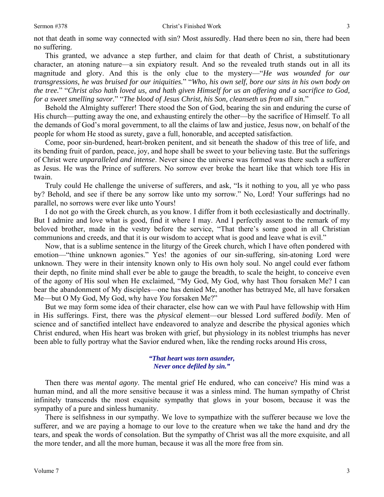not that death in some way connected with sin? Most assuredly. Had there been no sin, there had been no suffering.

This granted, we advance a step further, and claim for that death of Christ, a substitutionary character, an atoning nature—a sin expiatory result. And so the revealed truth stands out in all its magnitude and glory. And this is the only clue to the mystery—"*He was wounded for our transgressions, he was bruised for our iniquities.*" "*Who, his own self, bore our sins in his own body on the tree.*" "*Christ also hath loved us, and hath given Himself for us an offering and a sacrifice to God, for a sweet smelling savor.*" "*The blood of Jesus Christ, his Son, cleanseth us from all sin.*"

Behold the Almighty sufferer! There stood the Son of God, bearing the sin and enduring the curse of His church—putting away the one, and exhausting entirely the other—by the sacrifice of Himself. To all the demands of God's moral government, to all the claims of law and justice, Jesus now, on behalf of the people for whom He stood as surety, gave a full, honorable, and accepted satisfaction.

Come, poor sin-burdened, heart-broken penitent, and sit beneath the shadow of this tree of life, and its bending fruit of pardon, peace, joy, and hope shall be sweet to your believing taste. But the sufferings of Christ were *unparalleled and intense*. Never since the universe was formed was there such a sufferer as Jesus. He was the Prince of sufferers. No sorrow ever broke the heart like that which tore His in twain.

Truly could He challenge the universe of sufferers, and ask, "Is it nothing to you, all ye who pass by? Behold, and see if there be any sorrow like unto my sorrow." No, Lord! Your sufferings had no parallel, no sorrows were ever like unto Yours!

I do not go with the Greek church, as you know. I differ from it both ecclesiastically and doctrinally. But I admire and love what is good, find it where I may. And I perfectly assent to the remark of my beloved brother, made in the vestry before the service, "That there's some good in all Christian communions and creeds, and that it is our wisdom to accept what is good and leave what is evil."

Now, that is a sublime sentence in the liturgy of the Greek church, which I have often pondered with emotion—"thine unknown agonies." Yes! the agonies of our sin-suffering, sin-atoning Lord were unknown. They were in their intensity known only to His own holy soul. No angel could ever fathom their depth, no finite mind shall ever be able to gauge the breadth, to scale the height, to conceive even of the agony of His soul when He exclaimed, "My God, My God, why hast Thou forsaken Me? I can bear the abandonment of My disciples—one has denied Me, another has betrayed Me, all have forsaken Me—but O My God, My God, why have *You* forsaken Me?"

But we may form some idea of their character, else how can we with Paul have fellowship with Him in His sufferings. First, there was the *physical* element—our blessed Lord suffered *bodily*. Men of science and of sanctified intellect have endeavored to analyze and describe the physical agonies which Christ endured, when His heart was broken with grief, but physiology in its noblest triumphs has never been able to fully portray what the Savior endured when, like the rending rocks around His cross,

#### *"That heart was torn asunder, Never once defiled by sin."*

Then there was *mental agony*. The mental grief He endured, who can conceive? His mind was a human mind, and all the more sensitive because it was a sinless mind. The human sympathy of Christ infinitely transcends the most exquisite sympathy that glows in your bosom, because it was the sympathy of a pure and sinless humanity.

There is selfishness in our sympathy. We love to sympathize with the sufferer because we love the sufferer, and we are paying a homage to our love to the creature when we take the hand and dry the tears, and speak the words of consolation. But the sympathy of Christ was all the more exquisite, and all the more tender, and all the more human, because it was all the more free from sin.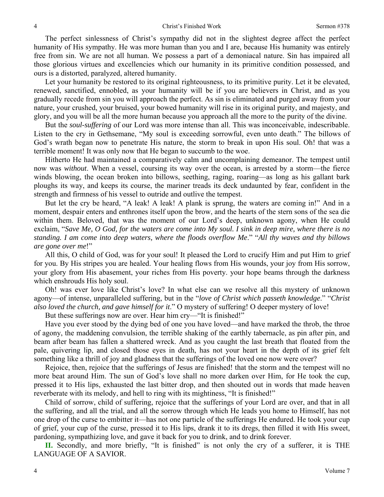The perfect sinlessness of Christ's sympathy did not in the slightest degree affect the perfect humanity of His sympathy. He was more human than you and I are, because His humanity was entirely free from sin. We are not all human. We possess a part of a demoniacal nature. Sin has impaired all those glorious virtues and excellencies which our humanity in its primitive condition possessed, and ours is a distorted, paralyzed, altered humanity.

Let your humanity be restored to its original righteousness, to its primitive purity. Let it be elevated, renewed, sanctified, ennobled, as your humanity will be if you are believers in Christ, and as you gradually recede from sin you will approach the perfect. As sin is eliminated and purged away from your nature, your crushed, your bruised, your bowed humanity will rise in its original purity, and majesty, and glory, and you will be all the more human because you approach all the more to the purity of the divine.

But the *soul-suffering* of our Lord was more intense than all. This was inconceivable, indescribable. Listen to the cry in Gethsemane, "My soul is exceeding sorrowful, even unto death." The billows of God's wrath began now to penetrate His nature, the storm to break in upon His soul. Oh! that was a terrible moment! It was only now that He began to succumb to the woe.

Hitherto He had maintained a comparatively calm and uncomplaining demeanor. The tempest until now was *without*. When a vessel, coursing its way over the ocean, is arrested by a storm—the fierce winds blowing, the ocean broken into billows, seething, raging, roaring—as long as his gallant bark ploughs its way, and keeps its course, the mariner treads its deck undaunted by fear, confident in the strength and firmness of his vessel to outride and outlive the tempest.

But let the cry be heard, "A leak! A leak! A plank is sprung, the waters are coming in!" And in a moment, despair enters and enthrones itself upon the brow, and the hearts of the stern sons of the sea die within them. Beloved, that was the moment of our Lord's deep, unknown agony, when He could exclaim, "*Save Me, O God, for the waters are come into My soul. I sink in deep mire, where there is no standing. I am come into deep waters, where the floods overflow Me*." "*All thy waves and thy billows are gone over me*!"

All this, O child of God, was for your soul! It pleased the Lord to crucify Him and put Him to grief for you. By His stripes you are healed. Your healing flows from His wounds, your joy from His sorrow, your glory from His abasement, your riches from His poverty. your hope beams through the darkness which enshrouds His holy soul.

Oh! was ever love like Christ's love? In what else can we resolve all this mystery of unknown agony—of intense, unparalleled suffering, but in the "*love of Christ which passeth knowledge*." "*Christ also loved the church, and gave himself for it*." O mystery of suffering! O deeper mystery of love!

But these sufferings now are over. Hear him cry—"It is finished!"

Have you ever stood by the dying bed of one you have loved—and have marked the throb, the throe of agony, the maddening convulsion, the terrible shaking of the earthly tabernacle, as pin after pin, and beam after beam has fallen a shattered wreck. And as you caught the last breath that floated from the pale, quivering lip, and closed those eyes in death, has not your heart in the depth of its grief felt something like a thrill of joy and gladness that the sufferings of the loved one now were over?

Rejoice, then, rejoice that the sufferings of Jesus are finished! that the storm and the tempest will no more beat around Him. The sun of God's love shall no more darken over Him, for He took the cup, pressed it to His lips, exhausted the last bitter drop, and then shouted out in words that made heaven reverberate with its melody, and hell to ring with its mightiness, "It is finished!"

Child of sorrow, child of suffering, rejoice that the sufferings of your Lord are over, and that in all the suffering, and all the trial, and all the sorrow through which He leads you home to Himself, has not one drop of the curse to embitter it—has not one particle of the sufferings He endured. He took your cup of grief, your cup of the curse, pressed it to His lips, drank it to its dregs, then filled it with His sweet, pardoning, sympathizing love, and gave it back for you to drink, and to drink forever.

**II.** Secondly, and more briefly, "It is finished" is not only the cry of a sufferer, it is THE LANGUAGE OF A SAVIOR.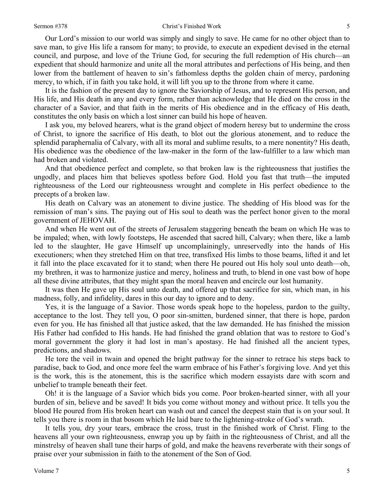#### Sermon #378 Christ's Finished Work

Our Lord's mission to our world was simply and singly to save. He came for no other object than to save man, to give His life a ransom for many; to provide, to execute an expedient devised in the eternal council, and purpose, and love of the Triune God, for securing the full redemption of His church—an expedient that should harmonize and unite all the moral attributes and perfections of His being, and then lower from the battlement of heaven to sin's fathomless depths the golden chain of mercy, pardoning mercy, to which, if in faith you take hold, it will lift you up to the throne from where it came.

It is the fashion of the present day to ignore the Saviorship of Jesus, and to represent His person, and His life, and His death in any and every form, rather than acknowledge that He died on the cross in the character of a Savior, and that faith in the merits of His obedience and in the efficacy of His death, constitutes the only basis on which a lost sinner can build his hope of heaven.

I ask you, my beloved hearers, what is the grand object of modern heresy but to undermine the cross of Christ, to ignore the sacrifice of His death, to blot out the glorious atonement, and to reduce the splendid paraphernalia of Calvary, with all its moral and sublime results, to a mere nonentity? His death, His obedience was the obedience of the law-maker in the form of the law-fulfiller to a law which man had broken and violated.

And that obedience perfect and complete, so that broken law is the righteousness that justifies the ungodly, and places him that believes spotless before God. Hold you fast that truth—the imputed righteousness of the Lord our righteousness wrought and complete in His perfect obedience to the precepts of a broken law.

His death on Calvary was an atonement to divine justice. The shedding of His blood was for the remission of man's sins. The paying out of His soul to death was the perfect honor given to the moral government of JEHOVAH.

And when He went out of the streets of Jerusalem staggering beneath the beam on which He was to be impaled; when, with lowly footsteps, He ascended that sacred hill, Calvary; when there, like a lamb led to the slaughter, He gave Himself up uncomplainingly, unreservedly into the hands of His executioners; when they stretched Him on that tree, transfixed His limbs to those beams, lifted it and let it fall into the place excavated for it to stand; when there He poured out His holy soul unto death—oh, my brethren, it was to harmonize justice and mercy, holiness and truth, to blend in one vast bow of hope all these divine attributes, that they might span the moral heaven and encircle our lost humanity.

It was then He gave up His soul unto death, and offered up that sacrifice for sin, which man, in his madness, folly, and infidelity, dares in this our day to ignore and to deny.

Yes, it is the language of a Savior. Those words speak hope to the hopeless, pardon to the guilty, acceptance to the lost. They tell you, O poor sin-smitten, burdened sinner, that there is hope, pardon even for you*.* He has finished all that justice asked, that the law demanded. He has finished the mission His Father had confided to His hands. He had finished the grand oblation that was to restore to God's moral government the glory it had lost in man's apostasy. He had finished all the ancient types, predictions, and shadows.

He tore the veil in twain and opened the bright pathway for the sinner to retrace his steps back to paradise, back to God, and once more feel the warm embrace of his Father's forgiving love. And yet this is the work, this is the atonement, this is the sacrifice which modern essayists dare with scorn and unbelief to trample beneath their feet.

Oh! it is the language of a Savior which bids you come. Poor broken-hearted sinner, with all your burden of sin, believe and be saved! It bids you come without money and without price. It tells you the blood He poured from His broken heart can wash out and cancel the deepest stain that is on your soul. It tells you there is room in that bosom which He laid bare to the lightening-stroke of God's wrath.

It tells you, dry your tears, embrace the cross, trust in the finished work of Christ. Fling to the heavens all your own righteousness, enwrap you up by faith in the righteousness of Christ, and all the minstrelsy of heaven shall tune their harps of gold, and make the heavens reverberate with their songs of praise over your submission in faith to the atonement of the Son of God.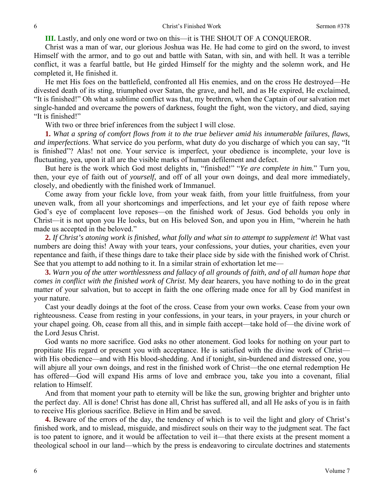**III.** Lastly, and only one word or two on this—it is THE SHOUT OF A CONQUEROR.

Christ was a man of war, our glorious Joshua was He. He had come to gird on the sword, to invest Himself with the armor, and to go out and battle with Satan, with sin, and with hell. It was a terrible conflict, it was a fearful battle, but He girded Himself for the mighty and the solemn work, and He completed it, He finished it.

He met His foes on the battlefield, confronted all His enemies, and on the cross He destroyed—He divested death of its sting, triumphed over Satan, the grave, and hell, and as He expired, He exclaimed, "It is finished!" Oh what a sublime conflict was that, my brethren, when the Captain of our salvation met single-handed and overcame the powers of darkness, fought the fight, won the victory, and died, saying "It is finished!"

With two or three brief inferences from the subject I will close.

**1.** *What a spring of comfort flows from it to the true believer amid his innumerable failures, flaws, and imperfections*. What service do you perform, what duty do you discharge of which you can say, "It is finished"? Alas! not one. Your service is imperfect, your obedience is incomplete, your love is fluctuating, yea, upon it all are the visible marks of human defilement and defect.

But here is the work which God most delights in, "finished!" "*Ye are complete in him.*" Turn you, then, your eye of faith out of *yourself*, and off of all your own doings, and deal more immediately, closely, and obediently with the finished work of Immanuel.

Come away from your fickle love, from your weak faith, from your little fruitfulness, from your uneven walk, from all your shortcomings and imperfections, and let your eye of faith repose where God's eye of complacent love reposes—on the finished work of Jesus. God beholds you only in Christ—it is not upon you He looks, but on His beloved Son, and upon you in Him, "wherein he hath made us accepted in the beloved."

**2.** *If Christ's atoning work is finished, what folly and what sin to attempt to supplement it*! What vast numbers are doing this! Away with your tears, your confessions, your duties, your charities, even your repentance and faith, if these things dare to take their place side by side with the finished work of Christ. See that you attempt to add nothing to it. In a similar strain of exhortation let me—

**3.** *Warn you of the utter worthlessness and fallacy of all grounds of faith, and of all human hope that comes in conflict with the finished work of Christ.* My dear hearers, you have nothing to do in the great matter of your salvation, but to accept in faith the one offering made once for all by God manifest in your nature.

Cast your deadly doings at the foot of the cross. Cease from your own works. Cease from your own righteousness. Cease from resting in your confessions, in your tears, in your prayers, in your church or your chapel going. Oh, cease from all this, and in simple faith accept—take hold of—the divine work of the Lord Jesus Christ.

God wants no more sacrifice. God asks no other atonement. God looks for nothing on your part to propitiate His regard or present you with acceptance. He is satisfied with the divine work of Christ with His obedience—and with His blood-shedding. And if tonight, sin-burdened and distressed one, you will abjure all your own doings, and rest in the finished work of Christ—the one eternal redemption He has offered—God will expand His arms of love and embrace you, take you into a covenant, filial relation to Himself.

And from that moment your path to eternity will be like the sun, growing brighter and brighter unto the perfect day. All is done! Christ has done all, Christ has suffered all, and all He asks of you is in faith to receive His glorious sacrifice. Believe in Him and be saved.

**4.** Beware of the errors of the day, the tendency of which is to veil the light and glory of Christ's finished work, and to mislead, misguide, and misdirect souls on their way to the judgment seat. The fact is too patent to ignore, and it would be affectation to veil it—that there exists at the present moment a theological school in our land—which by the press is endeavoring to circulate doctrines and statements